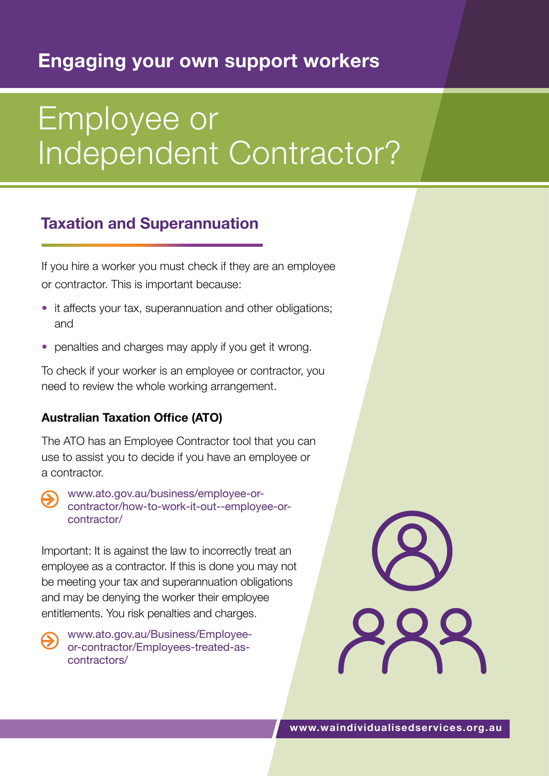## **Engaging your own support workers**

# Employee or Independent Contractor?

## **Taxation and Superannuation**

If you hire a worker you must check if they are an employee or contractor. This is important because:

- it affects your tax, superannuation and other obligations; and
- penalties and charges may apply if you get it wrong.

To check if your worker is an employee or contractor, you need to review the whole working arrangement.

#### **Australian Taxation Office (ATO)**

The ATO has an Employee Contractor tool that you can use to assist you to decide if you have an employee or a contractor.

[www.ato.gov.au/business/employee-or](http://www.ato.gov.au/business/employee-or-contractor/how-to-work-it-out--employee-or-contractor/)[contractor/how-to-work-it-out--employee-or](http://www.ato.gov.au/business/employee-or-contractor/how-to-work-it-out--employee-or-contractor/)[contractor/](http://www.ato.gov.au/business/employee-or-contractor/how-to-work-it-out--employee-or-contractor/)

Important: It is against the law to incorrectly treat an employee as a contractor. If this is done you may not be meeting your tax and superannuation obligations and may be denying the worker their employee entitlements. You risk penalties and charges.

[www.ato.gov.au/Business/Employee](http://www.ato.gov.au/Business/Employee-or-contractor/Employees-treated-as-contractors/)[or-contractor/Employees-treated-as](http://www.ato.gov.au/Business/Employee-or-contractor/Employees-treated-as-contractors/)[contractors/](http://www.ato.gov.au/Business/Employee-or-contractor/Employees-treated-as-contractors/)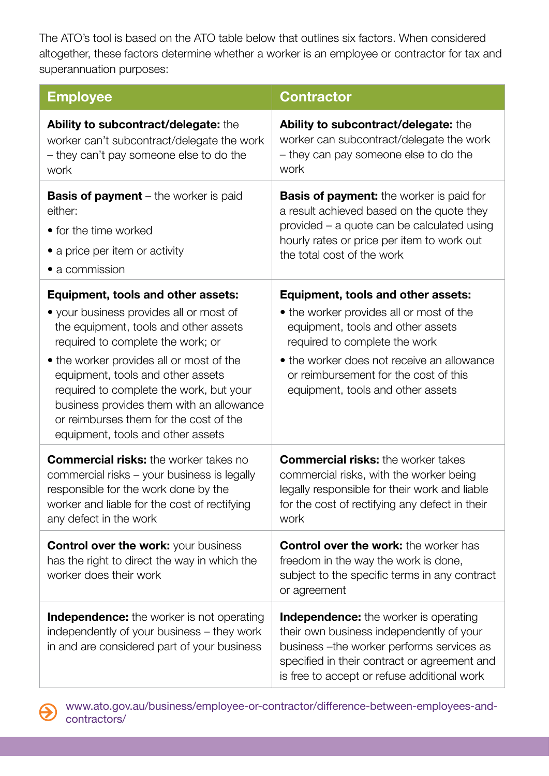The ATO's tool is based on the ATO table below that outlines six factors. When considered altogether, these factors determine whether a worker is an employee or contractor for tax and superannuation purposes:

| <b>Employee</b>                                                                                                                                                                                                                                                                                                                                                                                                    | <b>Contractor</b>                                                                                                                                                                                                                                                                |
|--------------------------------------------------------------------------------------------------------------------------------------------------------------------------------------------------------------------------------------------------------------------------------------------------------------------------------------------------------------------------------------------------------------------|----------------------------------------------------------------------------------------------------------------------------------------------------------------------------------------------------------------------------------------------------------------------------------|
| Ability to subcontract/delegate: the<br>worker can't subcontract/delegate the work<br>- they can't pay someone else to do the<br>work                                                                                                                                                                                                                                                                              | Ability to subcontract/delegate: the<br>worker can subcontract/delegate the work<br>- they can pay someone else to do the<br>work                                                                                                                                                |
| <b>Basis of payment</b> – the worker is paid<br>either:<br>• for the time worked<br>• a price per item or activity<br>• a commission                                                                                                                                                                                                                                                                               | <b>Basis of payment:</b> the worker is paid for<br>a result achieved based on the quote they<br>provided - a quote can be calculated using<br>hourly rates or price per item to work out<br>the total cost of the work                                                           |
| Equipment, tools and other assets:<br>• your business provides all or most of<br>the equipment, tools and other assets<br>required to complete the work; or<br>• the worker provides all or most of the<br>equipment, tools and other assets<br>required to complete the work, but your<br>business provides them with an allowance<br>or reimburses them for the cost of the<br>equipment, tools and other assets | Equipment, tools and other assets:<br>• the worker provides all or most of the<br>equipment, tools and other assets<br>required to complete the work<br>• the worker does not receive an allowance<br>or reimbursement for the cost of this<br>equipment, tools and other assets |
| <b>Commercial risks:</b> the worker takes no<br>commercial risks - your business is legally<br>responsible for the work done by the<br>worker and liable for the cost of rectifying<br>any defect in the work                                                                                                                                                                                                      | <b>Commercial risks:</b> the worker takes<br>commercial risks, with the worker being<br>legally responsible for their work and liable<br>for the cost of rectifying any defect in their<br>work                                                                                  |
| <b>Control over the work: your business</b><br>has the right to direct the way in which the<br>worker does their work                                                                                                                                                                                                                                                                                              | <b>Control over the work:</b> the worker has<br>freedom in the way the work is done,<br>subject to the specific terms in any contract<br>or agreement                                                                                                                            |
| <b>Independence:</b> the worker is not operating<br>independently of your business – they work<br>in and are considered part of your business                                                                                                                                                                                                                                                                      | <b>Independence:</b> the worker is operating<br>their own business independently of your<br>business - the worker performs services as<br>specified in their contract or agreement and<br>is free to accept or refuse additional work                                            |

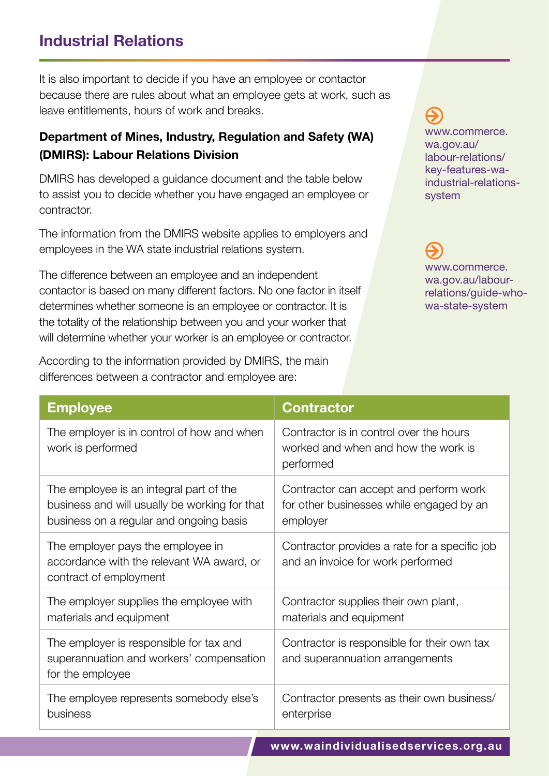### **Industrial Relations**

It is also important to decide if you have an employee or contactor because there are rules about what an employee gets at work, such as leave entitlements, hours of work and breaks.

#### **Department of Mines, Industry, Regulation and Safety (WA) (DMIRS): Labour Relations Division**

DMIRS has developed a guidance document and the table below to assist you to decide whether you have engaged an employee or contractor.

The information from the DMIRS website applies to employers and employees in the WA state industrial relations system.

The difference between an employee and an independent contactor is based on many different factors. No one factor in itself determines whether someone is an employee or contractor. It is the totality of the relationship between you and your worker that will determine whether your worker is an employee or contractor.

According to the information provided by DMIRS, the main differences between a contractor and employee are:

[www.commerce.](http://www.commerce.wa.gov.au/labour-relations/key-features-wa-industrial-relations-system) [wa.gov.au/](http://www.commerce.wa.gov.au/labour-relations/key-features-wa-industrial-relations-system) [labour-relations/](http://www.commerce.wa.gov.au/labour-relations/key-features-wa-industrial-relations-system) [key-features-wa](http://www.commerce.wa.gov.au/labour-relations/key-features-wa-industrial-relations-system)[industrial-relations](http://www.commerce.wa.gov.au/labour-relations/key-features-wa-industrial-relations-system)[system](http://www.commerce.wa.gov.au/labour-relations/key-features-wa-industrial-relations-system)

[www.commerce.](http://www.commerce.wa.gov.au/labour-relations/guide-who-wa-state-system) [wa.gov.au/labour](http://www.commerce.wa.gov.au/labour-relations/guide-who-wa-state-system)[relations/guide-who](http://www.commerce.wa.gov.au/labour-relations/guide-who-wa-state-system)[wa-state-system](http://www.commerce.wa.gov.au/labour-relations/guide-who-wa-state-system)

| <b>Employee</b>                                                                                                                     | <b>Contractor</b>                                                                              |
|-------------------------------------------------------------------------------------------------------------------------------------|------------------------------------------------------------------------------------------------|
| The employer is in control of how and when<br>work is performed                                                                     | Contractor is in control over the hours<br>worked and when and how the work is<br>performed    |
| The employee is an integral part of the<br>business and will usually be working for that<br>business on a regular and ongoing basis | Contractor can accept and perform work<br>for other businesses while engaged by an<br>employer |
| The employer pays the employee in<br>accordance with the relevant WA award, or<br>contract of employment                            | Contractor provides a rate for a specific job<br>and an invoice for work performed             |
| The employer supplies the employee with<br>materials and equipment                                                                  | Contractor supplies their own plant,<br>materials and equipment                                |
| The employer is responsible for tax and<br>superannuation and workers' compensation<br>for the employee                             | Contractor is responsible for their own tax<br>and superannuation arrangements                 |
| The employee represents somebody else's<br>business                                                                                 | Contractor presents as their own business/<br>enterprise                                       |